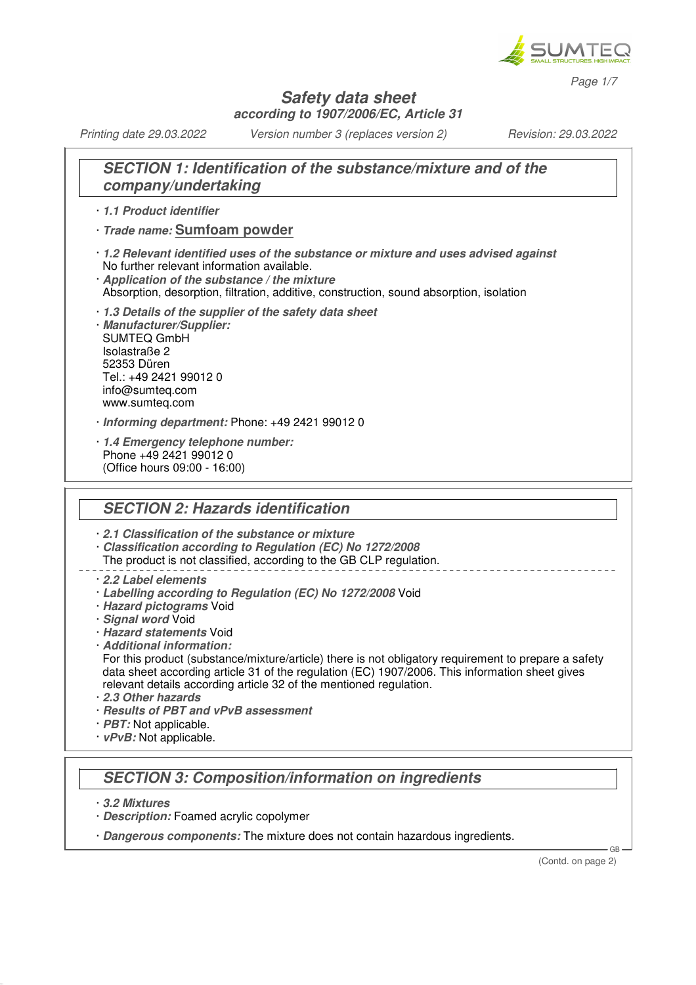

*Page 1/7*

#### **Safety data sheet according to 1907/2006/EC, Article 31**

*Printing date 29.03.2022 Version number 3 (replaces version 2) Revision: 29.03.2022*

### **SECTION 1: Identification of the substance/mixture and of the company/undertaking**

#### · **1.1 Product identifier**

- · **Trade name: Sumfoam powder**
- · **1.2 Relevant identified uses of the substance or mixture and uses advised against** No further relevant information available.
- · **Application of the substance / the mixture** Absorption, desorption, filtration, additive, construction, sound absorption, isolation
- 
- · **1.3 Details of the supplier of the safety data sheet** · **Manufacturer/Supplier:** SUMTEQ GmbH Isolastraße 2 52353 Düren Tel.: +49 2421 99012 0 info@sumteq.com www.sumteq.com
- · **Informing department:** Phone: +49 2421 99012 0
- · **1.4 Emergency telephone number:** Phone +49 2421 99012 0 (Office hours 09:00 - 16:00)

### **SECTION 2: Hazards identification**

· **2.1 Classification of the substance or mixture**

- · **Classification according to Regulation (EC) No 1272/2008**
- The product is not classified, according to the GB CLP regulation.
- · **2.2 Label elements**
- · **Labelling according to Regulation (EC) No 1272/2008** Void
- · **Hazard pictograms** Void
- · **Signal word** Void
- · **Hazard statements** Void
- · **Additional information:**
- For this product (substance/mixture/article) there is not obligatory requirement to prepare a safety data sheet according article 31 of the regulation (EC) 1907/2006. This information sheet gives relevant details according article 32 of the mentioned regulation.
- · **2.3 Other hazards**
- · **Results of PBT and vPvB assessment**
- *PBT:* Not applicable.
- · **vPvB:** Not applicable.

### **SECTION 3: Composition/information on ingredients**

- · **3.2 Mixtures**
- · **Description:** Foamed acrylic copolymer
- · **Dangerous components:** The mixture does not contain hazardous ingredients.

(Contd. on page 2)

GB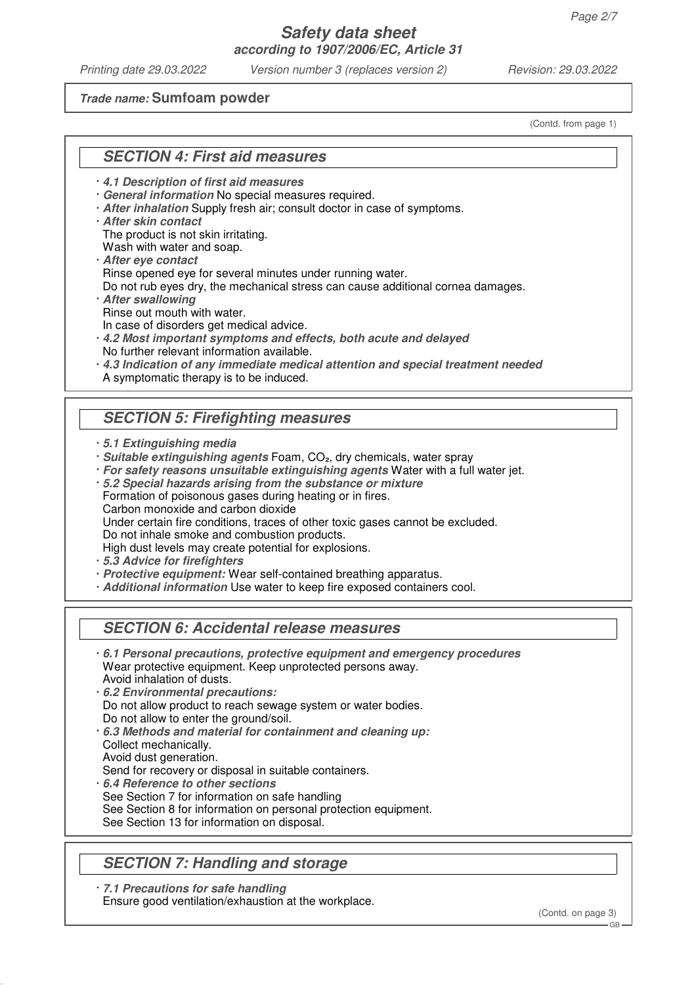## **Safety data sheet according to 1907/2006/EC, Article 31**

*Printing date 29.03.2022 Version number 3 (replaces version 2) Revision: 29.03.2022*

#### **Trade name: Sumfoam powder**

(Contd. from page 1)

#### **SECTION 4: First aid measures**

- · **4.1 Description of first aid measures**
- · **General information** No special measures required.
- · **After inhalation** Supply fresh air; consult doctor in case of symptoms.
- · **After skin contact**

The product is not skin irritating.

Wash with water and soap.

- · **After eye contact** Rinse opened eye for several minutes under running water.
- Do not rub eyes dry, the mechanical stress can cause additional cornea damages.
- · **After swallowing** Rinse out mouth with water.
- In case of disorders get medical advice.
- · **4.2 Most important symptoms and effects, both acute and delayed** No further relevant information available.
- · **4.3 Indication of any immediate medical attention and special treatment needed** A symptomatic therapy is to be induced.

### **SECTION 5: Firefighting measures**

- · **5.1 Extinguishing media**
- · **Suitable extinguishing agents** Foam, CO₂, dry chemicals, water spray
- · **For safety reasons unsuitable extinguishing agents** Water with a full water jet.
- · **5.2 Special hazards arising from the substance or mixture**
- Formation of poisonous gases during heating or in fires.
- Carbon monoxide and carbon dioxide
- Under certain fire conditions, traces of other toxic gases cannot be excluded.

Do not inhale smoke and combustion products.

High dust levels may create potential for explosions.

- · **5.3 Advice for firefighters**
- · **Protective equipment:** Wear self-contained breathing apparatus.
- · **Additional information** Use water to keep fire exposed containers cool.

#### **SECTION 6: Accidental release measures**

- · **6.1 Personal precautions, protective equipment and emergency procedures** Wear protective equipment. Keep unprotected persons away. Avoid inhalation of dusts.
- · **6.2 Environmental precautions:** Do not allow product to reach sewage system or water bodies. Do not allow to enter the ground/soil.
- · **6.3 Methods and material for containment and cleaning up:** Collect mechanically.
- Avoid dust generation.
- Send for recovery or disposal in suitable containers.
- · **6.4 Reference to other sections**
- See Section 7 for information on safe handling
- See Section 8 for information on personal protection equipment.
- See Section 13 for information on disposal.

### **SECTION 7: Handling and storage**

· **7.1 Precautions for safe handling** Ensure good ventilation/exhaustion at the workplace.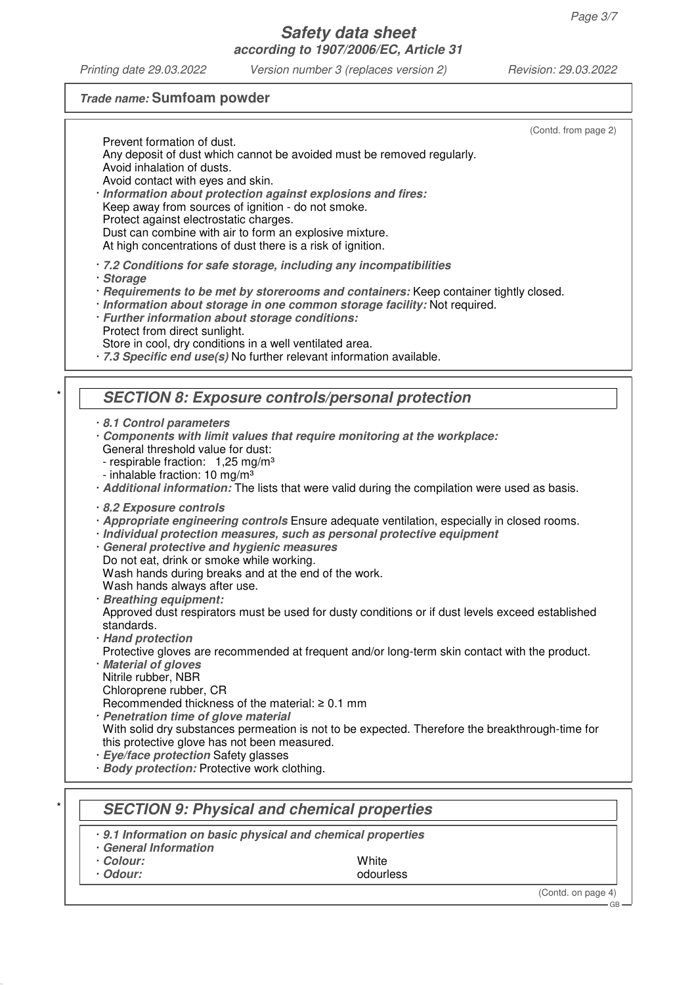# **Trade name: Sumfoam powder**

| (Contd. from page 2)<br>Prevent formation of dust.                                                                                                                     |
|------------------------------------------------------------------------------------------------------------------------------------------------------------------------|
| Any deposit of dust which cannot be avoided must be removed regularly.<br>Avoid inhalation of dusts.                                                                   |
| Avoid contact with eyes and skin.                                                                                                                                      |
| · Information about protection against explosions and fires:                                                                                                           |
| Keep away from sources of ignition - do not smoke.                                                                                                                     |
| Protect against electrostatic charges.<br>Dust can combine with air to form an explosive mixture.                                                                      |
| At high concentrations of dust there is a risk of ignition.                                                                                                            |
| 7.2 Conditions for safe storage, including any incompatibilities                                                                                                       |
| · Storage                                                                                                                                                              |
| · Requirements to be met by storerooms and containers: Keep container tightly closed.                                                                                  |
| · Information about storage in one common storage facility: Not required.                                                                                              |
| · Further information about storage conditions:<br>Protect from direct sunlight.                                                                                       |
| Store in cool, dry conditions in a well ventilated area.                                                                                                               |
| · 7.3 Specific end use(s) No further relevant information available.                                                                                                   |
|                                                                                                                                                                        |
| <b>SECTION 8: Exposure controls/personal protection</b>                                                                                                                |
|                                                                                                                                                                        |
| 8.1 Control parameters                                                                                                                                                 |
| Components with limit values that require monitoring at the workplace:<br>General threshold value for dust:                                                            |
| - respirable fraction: 1,25 mg/m <sup>3</sup>                                                                                                                          |
| - inhalable fraction: 10 mg/m <sup>3</sup>                                                                                                                             |
| · Additional information: The lists that were valid during the compilation were used as basis.                                                                         |
| 8.2 Exposure controls                                                                                                                                                  |
| · Appropriate engineering controls Ensure adequate ventilation, especially in closed rooms.<br>· Individual protection measures, such as personal protective equipment |
| · General protective and hygienic measures                                                                                                                             |
| Do not eat, drink or smoke while working.                                                                                                                              |
| Wash hands during breaks and at the end of the work.                                                                                                                   |
| Wash hands always after use.<br>· Breathing equipment:                                                                                                                 |
| Approved dust respirators must be used for dusty conditions or if dust levels exceed established                                                                       |
| standards.                                                                                                                                                             |
| · Hand protection                                                                                                                                                      |
| Protective gloves are recommended at frequent and/or long-term skin contact with the product.<br>· Material of gloves                                                  |
| Nitrile rubber, NBR                                                                                                                                                    |
| Chloroprene rubber, CR                                                                                                                                                 |
| Recommended thickness of the material: $\geq 0.1$ mm                                                                                                                   |
| · Penetration time of glove material                                                                                                                                   |
| With solid dry substances permeation is not to be expected. Therefore the breakthrough-time for<br>this protective glove has not been measured.                        |
| · Eye/face protection Safety glasses                                                                                                                                   |
| · Body protection: Protective work clothing.                                                                                                                           |
|                                                                                                                                                                        |
| <b>SECTION 9: Physical and chemical properties</b>                                                                                                                     |
| 9.1 Information on basic physical and chemical properties                                                                                                              |
| <b>General Information</b>                                                                                                                                             |
| · Colour:<br>White                                                                                                                                                     |
| · Odour:<br>odourless                                                                                                                                                  |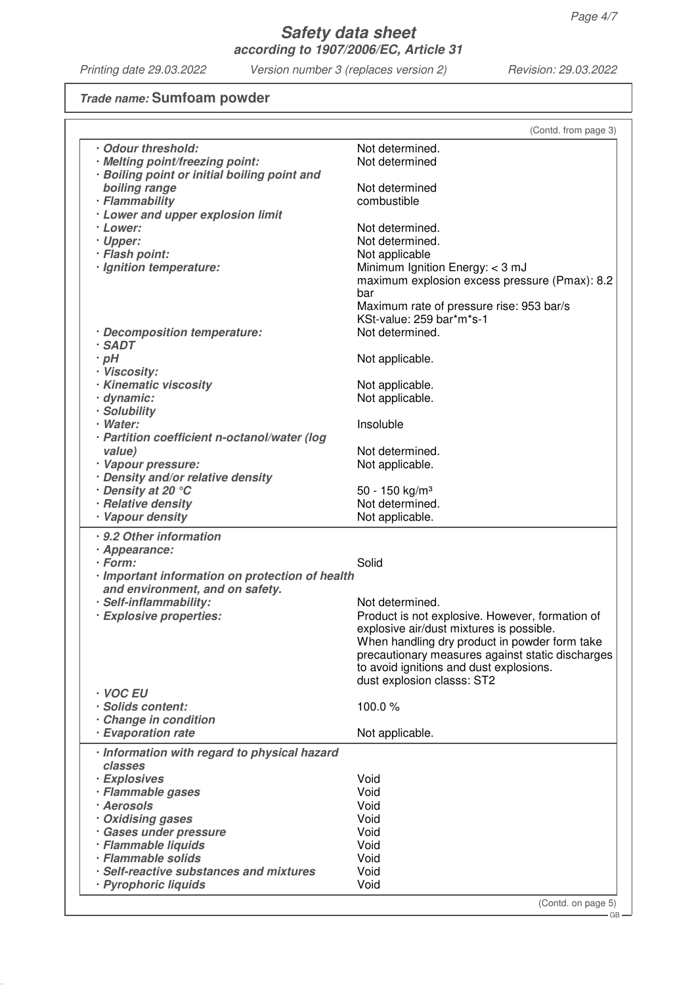### **Trade name: Sumfoam powder**

| Odour threshold:<br>· Melting point/freezing point:             | Not determined.                                  |
|-----------------------------------------------------------------|--------------------------------------------------|
|                                                                 |                                                  |
| <b>Boiling point or initial boiling point and</b>               | Not determined                                   |
| boiling range                                                   | Not determined                                   |
| · Flammability                                                  | combustible                                      |
| · Lower and upper explosion limit                               |                                                  |
| · Lower:                                                        | Not determined.                                  |
| · Upper:                                                        | Not determined.                                  |
| · Flash point:                                                  | Not applicable                                   |
| · Ignition temperature:                                         | Minimum Ignition Energy: < 3 mJ                  |
|                                                                 | maximum explosion excess pressure (Pmax): 8.2    |
|                                                                 | bar                                              |
|                                                                 | Maximum rate of pressure rise: 953 bar/s         |
|                                                                 | KSt-value: 259 bar*m*s-1                         |
| · Decomposition temperature:                                    | Not determined.                                  |
| · SADT                                                          |                                                  |
| $\cdot$ pH                                                      | Not applicable.                                  |
| · Viscosity:                                                    |                                                  |
| · Kinematic viscosity                                           | Not applicable.                                  |
| · dynamic:                                                      | Not applicable.                                  |
| · Solubility                                                    |                                                  |
| · Water:                                                        | Insoluble                                        |
| · Partition coefficient n-octanol/water (log                    |                                                  |
| value)                                                          | Not determined.                                  |
| · Vapour pressure:                                              | Not applicable.                                  |
| · Density and/or relative density                               |                                                  |
| Density at 20 °C                                                | 50 - 150 kg/m <sup>3</sup>                       |
| · Relative density                                              | Not determined.                                  |
| · Vapour density                                                | Not applicable.                                  |
| · 9.2 Other information                                         |                                                  |
| · Appearance:                                                   |                                                  |
| · Form:                                                         | Solid                                            |
| · Important information on protection of health                 |                                                  |
| and environment, and on safety.                                 |                                                  |
| · Self-inflammability:                                          | Not determined.                                  |
| · Explosive properties:                                         | Product is not explosive. However, formation of  |
|                                                                 | explosive air/dust mixtures is possible.         |
|                                                                 | When handling dry product in powder form take    |
|                                                                 | precautionary measures against static discharges |
|                                                                 | to avoid ignitions and dust explosions.          |
|                                                                 | dust explosion classs: ST2                       |
| · VOC EU                                                        |                                                  |
| · Solids content:                                               | 100.0%                                           |
| Change in condition<br>· Evaporation rate                       | Not applicable.                                  |
|                                                                 |                                                  |
| Information with regard to physical hazard                      |                                                  |
| classes                                                         |                                                  |
| · Explosives                                                    | Void                                             |
| · Flammable gases                                               | Void                                             |
| · Aerosols                                                      | Void                                             |
| Oxidising gases                                                 | Void                                             |
| · Gases under pressure                                          | Void                                             |
| · Flammable liquids                                             | Void                                             |
|                                                                 | Void                                             |
| · Flammable solids                                              |                                                  |
| · Self-reactive substances and mixtures<br>· Pyrophoric liquids | Void<br>Void                                     |

(Contd. on page 5)

 $-$  GB -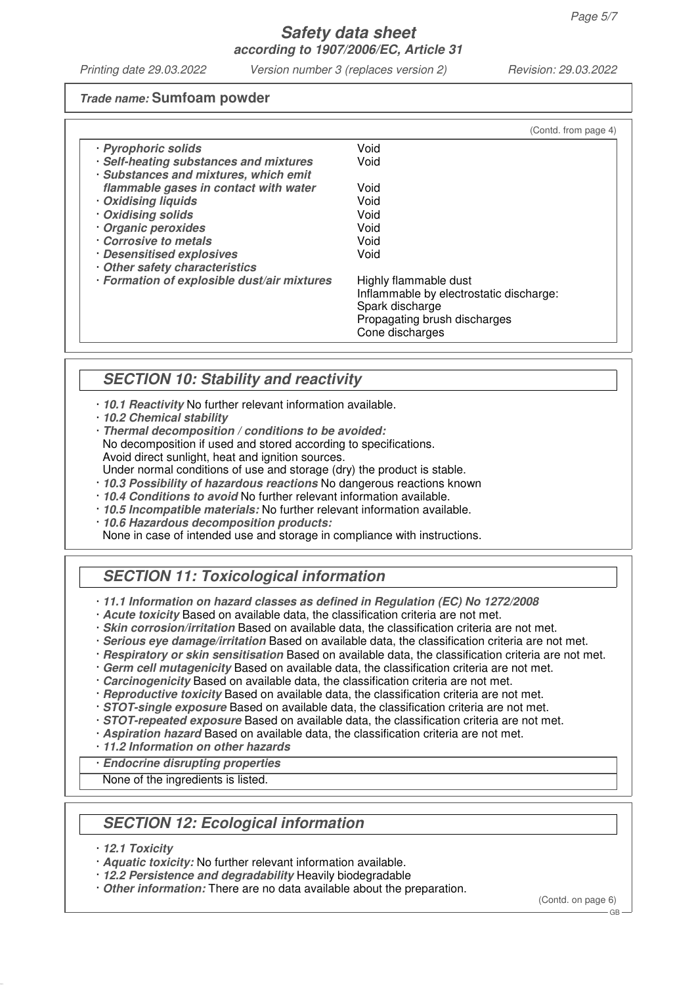#### **Trade name: Sumfoam powder**

|                                                                                 | (Contd. from page 4)                            |
|---------------------------------------------------------------------------------|-------------------------------------------------|
| · Pyrophoric solids                                                             | Void                                            |
| · Self-heating substances and mixtures<br>· Substances and mixtures, which emit | Void                                            |
| flammable gases in contact with water                                           | Void                                            |
| Oxidising liquids                                                               | Void                                            |
| Oxidising solids                                                                | Void                                            |
| Organic peroxides                                                               | Void                                            |
| Corrosive to metals                                                             | Void                                            |
| · Desensitised explosives<br>Other safety characteristics                       | Void                                            |
| · Formation of explosible dust/air mixtures                                     | Highly flammable dust                           |
|                                                                                 | Inflammable by electrostatic discharge:         |
|                                                                                 | Spark discharge                                 |
|                                                                                 | Propagating brush discharges<br>Cone discharges |

# **SECTION 10: Stability and reactivity**

- · **10.1 Reactivity** No further relevant information available.
- · **10.2 Chemical stability**
- · **Thermal decomposition / conditions to be avoided:** No decomposition if used and stored according to specifications. Avoid direct sunlight, heat and ignition sources.
- Under normal conditions of use and storage (dry) the product is stable.
- · **10.3 Possibility of hazardous reactions** No dangerous reactions known
- · **10.4 Conditions to avoid** No further relevant information available.
- · **10.5 Incompatible materials:** No further relevant information available.
- · **10.6 Hazardous decomposition products:**

None in case of intended use and storage in compliance with instructions.

# **SECTION 11: Toxicological information**

- · **11.1 Information on hazard classes as defined in Regulation (EC) No 1272/2008**
- · **Acute toxicity** Based on available data, the classification criteria are not met.
- · **Skin corrosion/irritation** Based on available data, the classification criteria are not met.
- · **Serious eye damage/irritation** Based on available data, the classification criteria are not met.
- · **Respiratory or skin sensitisation** Based on available data, the classification criteria are not met.
- · **Germ cell mutagenicity** Based on available data, the classification criteria are not met.
- · **Carcinogenicity** Based on available data, the classification criteria are not met.
- · **Reproductive toxicity** Based on available data, the classification criteria are not met.
- · **STOT-single exposure** Based on available data, the classification criteria are not met.
- · **STOT-repeated exposure** Based on available data, the classification criteria are not met.
- · **Aspiration hazard** Based on available data, the classification criteria are not met.
- · **11.2 Information on other hazards**
- · **Endocrine disrupting properties**

None of the ingredients is listed.

# **SECTION 12: Ecological information**

- · **12.1 Toxicity**
- · **Aquatic toxicity:** No further relevant information available.
- · **12.2 Persistence and degradability** Heavily biodegradable
- · **Other information:** There are no data available about the preparation.

(Contd. on page 6)

 $C<sub>B</sub>$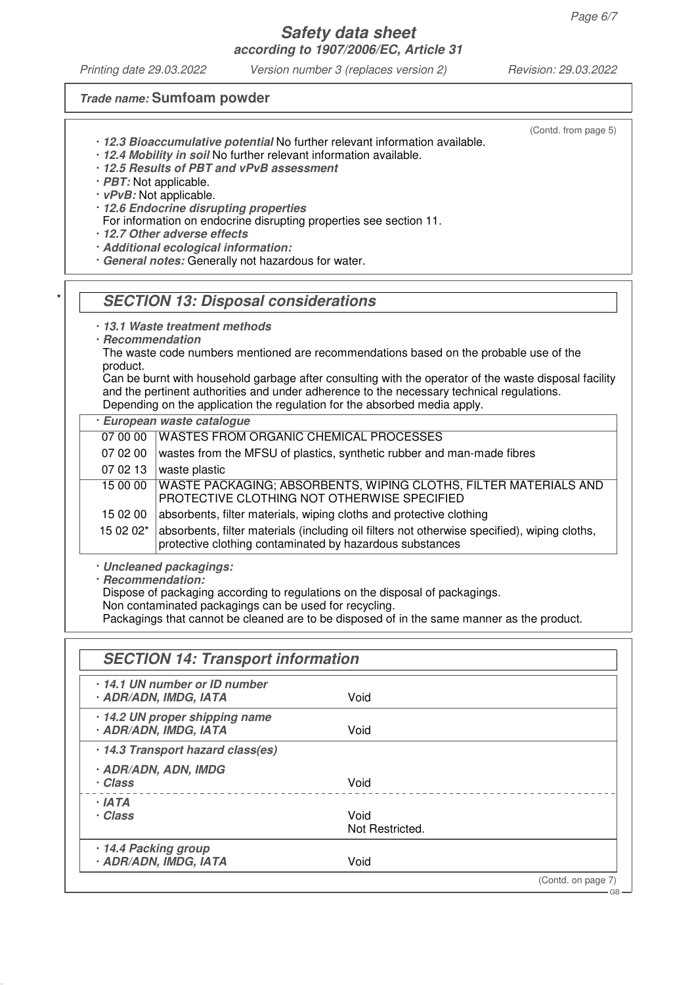#### **Safety data sheet according to 1907/2006/EC, Article 31**

*Printing date 29.03.2022 Version number 3 (replaces version 2) Revision: 29.03.2022*

(Contd. from page 5)

#### **Trade name: Sumfoam powder**

- · **12.3 Bioaccumulative potential** No further relevant information available.
- · **12.4 Mobility in soil** No further relevant information available.
- · **12.5 Results of PBT and vPvB assessment**
- · **PBT:** Not applicable.
- · **vPvB:** Not applicable.
- · **12.6 Endocrine disrupting properties**
- For information on endocrine disrupting properties see section 11.
- · **12.7 Other adverse effects**
- · **Additional ecological information:**
- · **General notes:** Generally not hazardous for water.

#### **SECTION 13: Disposal considerations**

- · **13.1 Waste treatment methods**
- · **Recommendation**

The waste code numbers mentioned are recommendations based on the probable use of the product.

Can be burnt with household garbage after consulting with the operator of the waste disposal facility and the pertinent authorities and under adherence to the necessary technical regulations. Depending on the application the regulation for the absorbed media apply.

| European waste catalogue |                                                                                                                                                          |  |  |  |  |
|--------------------------|----------------------------------------------------------------------------------------------------------------------------------------------------------|--|--|--|--|
| 07 00 00                 | <b>WASTES FROM ORGANIC CHEMICAL PROCESSES</b>                                                                                                            |  |  |  |  |
| 07 02 00                 | wastes from the MFSU of plastics, synthetic rubber and man-made fibres                                                                                   |  |  |  |  |
| 07 02 13                 | waste plastic                                                                                                                                            |  |  |  |  |
| 15 00 00                 | WASTE PACKAGING; ABSORBENTS, WIPING CLOTHS, FILTER MATERIALS AND<br>PROTECTIVE CLOTHING NOT OTHERWISE SPECIFIED                                          |  |  |  |  |
| 15 02 00                 | absorbents, filter materials, wiping cloths and protective clothing                                                                                      |  |  |  |  |
| 15 02 02*                | absorbents, filter materials (including oil filters not otherwise specified), wiping cloths,<br>protective clothing contaminated by hazardous substances |  |  |  |  |

- · **Uncleaned packagings:**
- · **Recommendation:**

Dispose of packaging according to regulations on the disposal of packagings.

Non contaminated packagings can be used for recycling.

Packagings that cannot be cleaned are to be disposed of in the same manner as the product.

| 14.1 UN number or ID number<br>· ADR/ADN, IMDG, IATA       | Void                    |  |
|------------------------------------------------------------|-------------------------|--|
| 14.2 UN proper shipping name<br><b>ADR/ADN, IMDG, IATA</b> | Void                    |  |
| · 14.3 Transport hazard class(es)                          |                         |  |
| <b>ADR/ADN, ADN, IMDG</b><br>· Class                       | Void                    |  |
| · IATA<br>· Class                                          | Void<br>Not Restricted. |  |
| 14.4 Packing group<br><b>ADR/ADN, IMDG, IATA</b>           | Void                    |  |